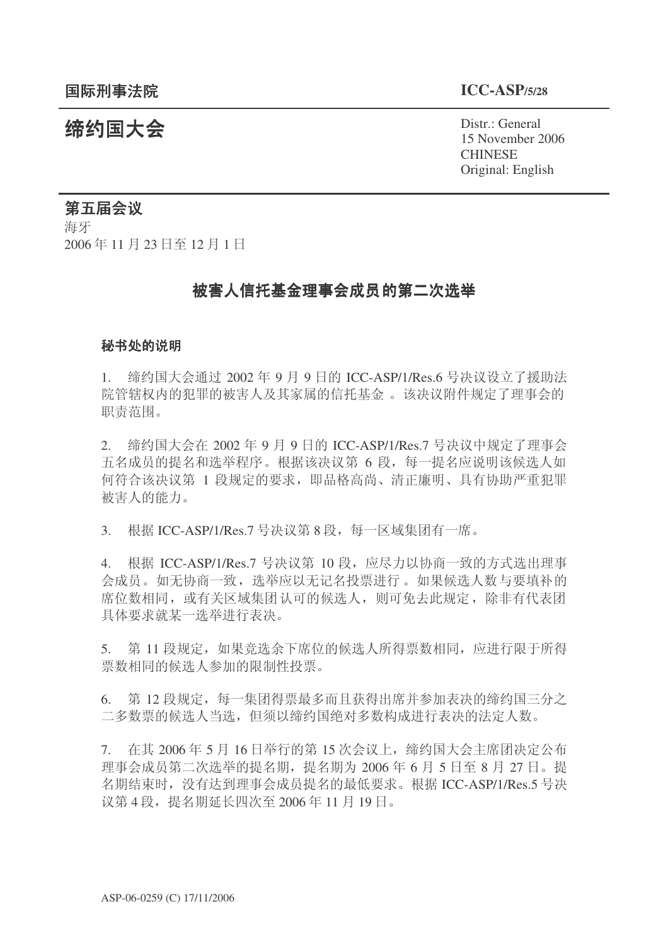结约国大会 Pistr.: General 15 November 2006 **CHINESE** Original: English

# 第五届会议

海牙 2006年11月23日至12月1日

# 被害人信托基金理事会成员的第二次选举

#### 秘书处的说明

 $1.$  缔约国大会通过 2002 年 9 月 9 日的 ICC-ASP/1/Res.6 号决议设立了援助法 院管辖权内的犯罪的被害人及其家属的信托基金 。该决议附件规定了理事会的 职责范围。

2. 缔约国大会在 2002 年 9 月 9 日的 ICC-ASP/1/Res.7 号决议中规定了理事会 五名成员的提名和选举程序。根据该决议第6段,每一提名应说明该候选人如 何符合该决议第 1 段规定的要求, 即品格高尚、清正廉明、具有协助严重犯罪 被害人的能力。

3. 根据 ICC-ASP/1/Res.7 号决议第 8 段, 每一区域集团有一席。

4. 根据 ICC-ASP/1/Res.7 号决议第 10 段, 应尽力以协商一致的方式选出理事 会成员。如无协商一致,选举应以无记名投票进行。如果候选人数与要填补的 席位数相同, 或有关区域集团认可的候选人, 则可免去此规定, 除非有代表团 具体要求就某一选举进行表决。

5. 第 11 段规定, 如果竞选余下席位的候选人所得票数相同, 应进行限于所得 票数相同的候选人参加的限制性投票。

6. 第12 段规定, 每一集团得票最多而且获得出席并参加表决的缔约国三分之 二多数票的候选人当选,但须以缔约国绝对多数构成进行表决的法定人数。

 $7.$  在其 2006年5月16日举行的第15次会议上, 缔约国大会主席团决定公布 理事会成员第二次选举的提名期, 提名期为 2006年6月5日至8月27日。提 名期结束时, 没有达到理事会成员提名的最低要求。根据 ICC-ASP/1/Res.5 号决 议第4段, 提名期延长四次至 2006年 11 月 19 日。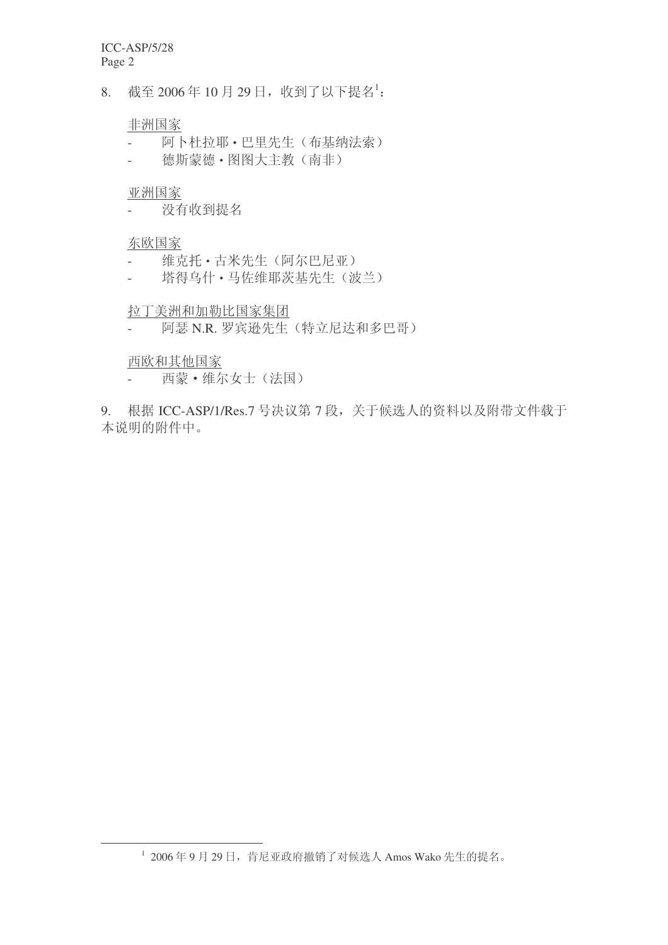8. 截至 2006年10月29日, 收到了以下提名1:

## 非洲国家

- 阿卜杜拉耶·巴里先生(布基纳法索)
- 德斯蒙德 · 图图大主教 (南非)

# 亚洲国家

- 没有收到提名

# 东欧国家

- 维克托·古米先生(阿尔巴尼亚)
- 塔得乌什·马佐维耶茨基先生(波兰)

## 拉丁美洲和加勒比国家集团

- 阿瑟 N.R. 罗宾逊先生(特立尼达和多巴哥)

### 西欧和其他国家

- 西蒙·维尔女士(法国)

9. 根据 ICC-ASP/1/Res.7 号决议第 7 段, 关于候选人的资料以及附带文件载于 本说明的附件中。

 $^1$  2006年9月29日,肯尼亚政府撤销了对候选人 Amos Wako 先生的提名。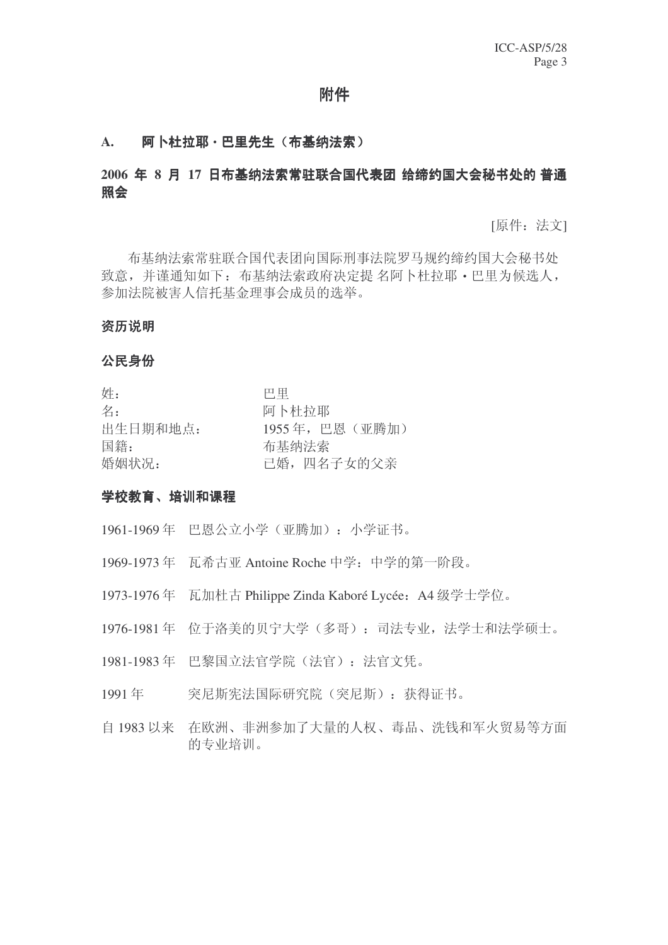# 附件

# A. 阿卜杜拉耶·巴里先生(布基纳法索)

# 2006 年 8 月 17 日布基纳法索常驻联合国代表团 给缔约国大会秘书处的 普通 ✻Ӯ

[原件: 法文]

布基纳法索常驻联合国代表团向国际刑事法院罗马规约缔约国大会秘书处 致意,并谨通知如下: 布基纳法索政府决定提 名阿卜杜拉耶 · 巴里为候选人, 参加法院被害人信托基金理事会成员的选举。

#### 资历说明

#### 公民身份

| 姓:       | 巴里              |
|----------|-----------------|
| 名:       | 阿卜杜拉耶           |
| 出生日期和地点: | 1955年, 巴恩 (亚腾加) |
| 国籍:      | 布基纳法索           |
| 婚姻状况:    | 已婚, 四名子女的父亲     |

#### 学校教育、培训和课程

- 1961-1969年 巴恩公立小学(亚腾加): 小学证书。
- 1969-1973 年 瓦希古亚 Antoine Roche 中学: 中学的第一阶段。
- 1973-1976年 瓦加杜古 Philippe Zinda Kaboré Lycée: A4 级学士学位。
- 1976-1981 年 位于洛美的贝宁大学(多哥): 司法专业, 法学士和法学硕士。
- 1981-1983年 巴黎国立法官学院(法官): 法官文凭。
- 1991年 突尼斯宪法国际研究院(突尼斯): 获得证书。
- 白 1983 以来 在欧洲、非洲参加了大量的人权、毒品、洗钱和军火贸易等方面 的专业培训。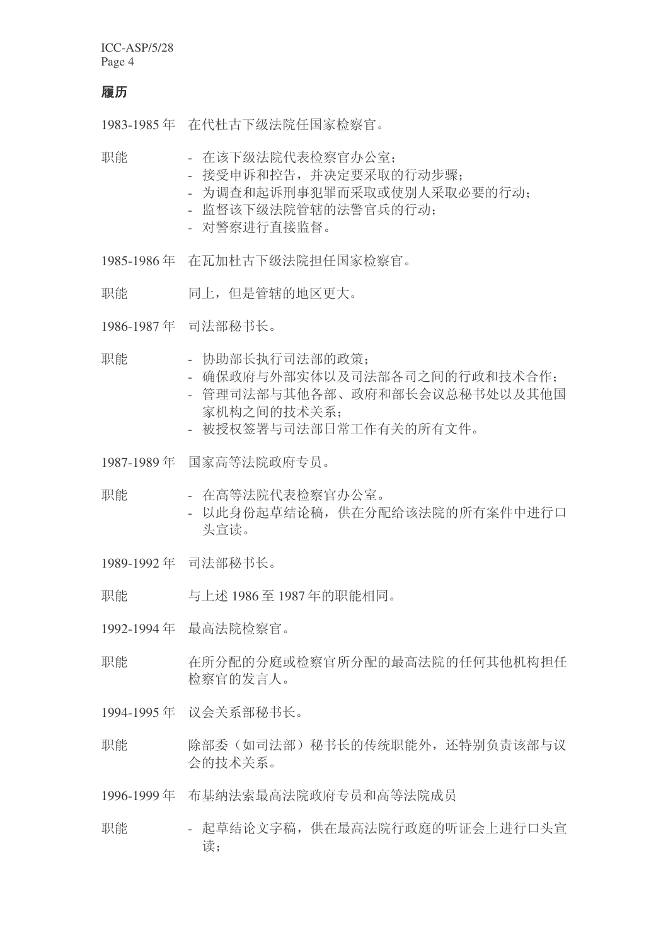#### 履历

1983-1985 年 在代杜古下级法院任国家检察官。

职能 - 在该下级法院代表检察官办公室:

- 接受申诉和控告,并决定要采取的行动步骤:
- 为调杳和起诉刑事犯罪而采取或使别人采取必要的行动:
- 监督该下级法院管辖的法警官兵的行动:
- 对警察进行直接监督。
- 1985-1986年 在瓦加杜古下级法院担任国家检察官。
- 职能 同上, 但是管辖的地区更大。
- 1986-1987 年 司法部秘书长。
- 职能 协助部长执行司法部的政策:
	- 确保政府与外部实体以及司法部各司之间的行政和技术合作:
	- 管理司法部与其他各部、政府和部长会议总秘书处以及其他国 家机构之间的技术关系:
	- 被授权签署与司法部日常工作有关的所有文件。
- 1987-1989 年 国家高等法院政府专员。
- 职能 在高等法院代表检察官办公室。
	- 以此身份起草结论稿, 供在分配给该法院的所有案件中讲行口 头宣读。
- 1989-1992年 司法部秘书长。

职能 与上述 1986 至 1987 年的职能相同。

1992-1994年 最高法院检察官。

- 职能 积烯 化硫酸钠 化硫酸铵 化硫酸 医精神性 化硫酸钠 检察官的发言人。
- 1994-1995 年 议会关系部秘书长。
- 职能 除部委(如司法部) 秘书长的传统职能外, 还特别负责该部与议 会的技术关系。
- 1996-1999 年 布基纳法索最高法院政府专员和高等法院成员
- 职能 起草结论文字稿, 供在最高法院行政庭的听证会上进行口头宣 读: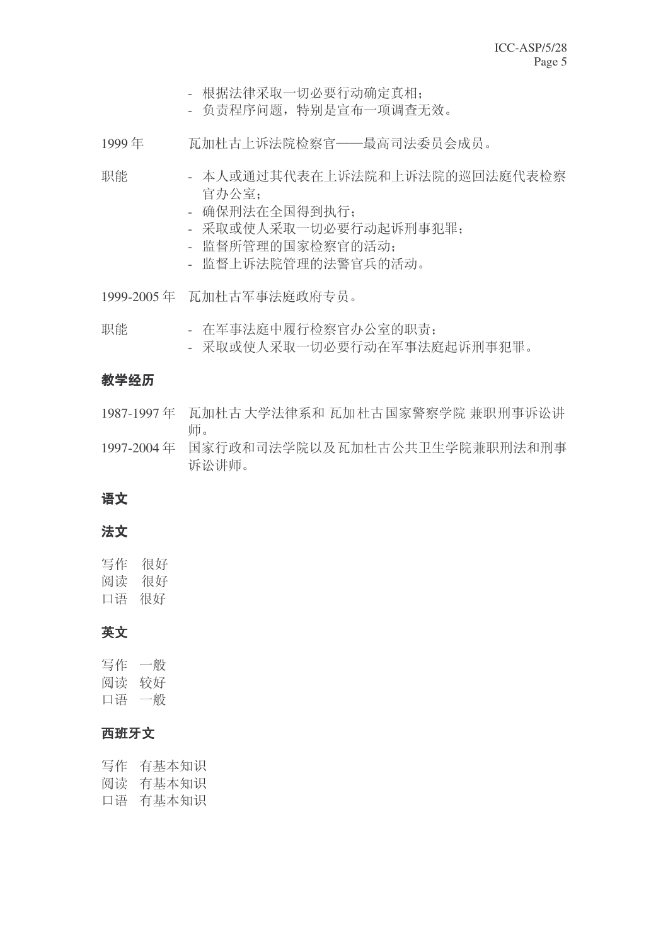- 根据法律采取一切必要行动确定真相:

- 负责程序问题, 特别是宣布一项调查无效。

1999年 瓦加杜古上诉法院检察官——最高司法委员会成员。

职能 - 本人或通过其代表在上诉法院和上诉法院的巡回法庭代表检察 官办公室:

- 确保刑法在全国得到执行:
- 采取或使人采取一切必要行动起诉刑事犯罪:
- 监督所管理的国家检察官的活动:
- 监督上诉法院管理的法警官兵的活动。

1999-2005 年 瓦加杜古军事法庭政府专员。

- 职能 在军事法庭中履行检察官办公室的职责:
	- 采取或使人采取一切必要行动在军事法庭起诉刑事犯罪。

# 教学经历

- 1987-1997年 瓦加杜古大学法律系和瓦加杜古国家警察学院 兼职刑事诉讼讲 师。
- 1997-2004年 国家行政和司法学院以及瓦加杜古公共卫生学院兼职刑法和刑事 诉讼讲师。

# 语文

# 法文

写作 很好 阅读 很好 口语 很好

# 英文

写作 一般 阅读 较好 口语 一般

# 西班牙文

写作 有基本知识 阅读 有基本知识 口语 有基本知识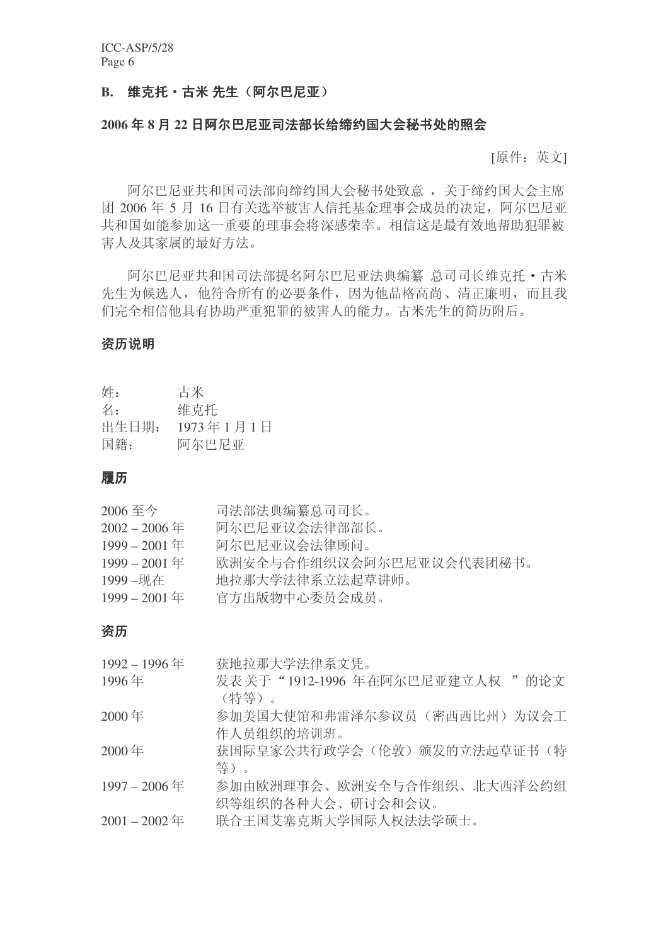## B. 维克托·古米 先生 (阿尔巴尼亚)

## 2006年8月22日阿尔巴尼亚司法部长给缔约国大会秘书处的照会

[原件:英文]

阿尔巴尼亚共和国司法部向缔约国大会秘书处致意,关于缔约国大会主席 团 2006年 5 月 16 日有关选举被害人信托基金理事会成员的决定, 阿尔巴尼亚 共和国如能参加这一重要的理事会将深感荣幸。相信这是最有效地帮助犯罪被 害人及其家属的最好方法。

阿尔巴尼亚共和国司法部提名阿尔巴尼亚法典编纂 总司司长维克托 • 古米 先生为候选人,他符合所有的必要条件,因为他品格高尚、清正廉明,而且我 们完全相信他具有协助严重犯罪的被害人的能力。古米先生的简历附后。

#### 资历说明

| 姓:    | 古米        |
|-------|-----------|
| 名:    | 维克托       |
| 出生日期: | 1973年1月1日 |
| 国籍:   | 阿尔巴尼亚     |

#### 履历

| 2006 至今         | 司法部法典编纂总司司长。             |
|-----------------|--------------------------|
| $2002 - 2006$ 年 | 阿尔巴尼亚议会法律部部长。            |
| $1999 - 2001$ 年 | 阿尔巴尼亚议会法律顾问。             |
| $1999 - 2001$ 年 | 欧洲安全与合作组织议会阿尔巴尼亚议会代表团秘书。 |
| 1999-现在         | 地拉那大学法律系立法起草讲师。          |
| $1999 - 2001$ 年 | 官方出版物中心委员会成员。            |

#### 资历

| 1992-1996年      | 获地拉那大学法律系文凭。                    |
|-----------------|---------------------------------|
| 1996年           | 发表关于"1912-1996 年在阿尔巴尼亚建立人权 "的论文 |
|                 | (特等)。                           |
| 2000年           | 参加美国大使馆和弗雷泽尔参议员(密西西比州)为议会工      |
|                 | 作人员组织的培训班。                      |
| 2000年           | 获国际皇家公共行政学会(伦敦)颁发的立法起草证书(特      |
|                 | 等)。                             |
| 1997-2006年      | 参加由欧洲理事会、欧洲安全与合作组织、北大西洋公约组      |
|                 | 织等组织的各种大会、研讨会和会议。               |
| $2001 - 2002$ 年 | 联合王国艾塞克斯大学国际人权法法学硕士。            |
|                 |                                 |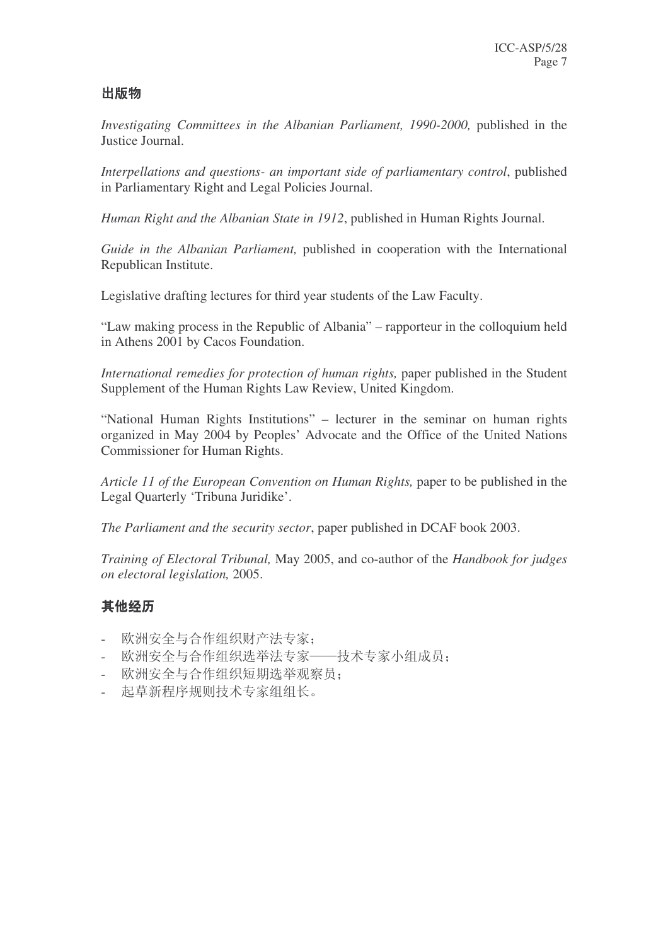# 出版物

*Investigating Committees in the Albanian Parliament, 1990-2000,* published in the Justice Journal.

*Interpellations and questions- an important side of parliamentary control*, published in Parliamentary Right and Legal Policies Journal.

*Human Right and the Albanian State in 1912*, published in Human Rights Journal.

*Guide in the Albanian Parliament,* published in cooperation with the International Republican Institute.

Legislative drafting lectures for third year students of the Law Faculty.

"Law making process in the Republic of Albania" – rapporteur in the colloquium held in Athens 2001 by Cacos Foundation.

*International remedies for protection of human rights,* paper published in the Student Supplement of the Human Rights Law Review, United Kingdom.

"National Human Rights Institutions" – lecturer in the seminar on human rights organized in May 2004 by Peoples' Advocate and the Office of the United Nations Commissioner for Human Rights.

*Article 11 of the European Convention on Human Rights,* paper to be published in the Legal Quarterly 'Tribuna Juridike'.

*The Parliament and the security sector*, paper published in DCAF book 2003.

*Training of Electoral Tribunal,* May 2005, and co-author of the *Handbook for judges on electoral legislation,* 2005.

# 其他经历

- 欧洲安全与合作组织财产法专家:
- 欧洲安全与合作组织选举法专家——技术专家小组成员:
- 欧洲安全与合作组织短期选举观察员;
- 起草新程序规则技术专家组组长。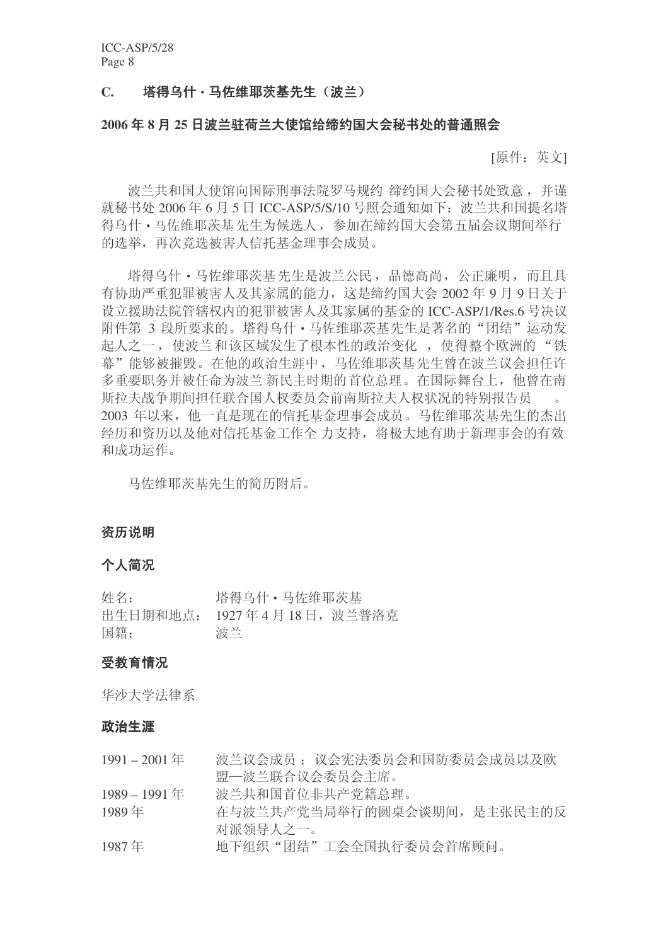## C. 塔得乌什·马佐维耶茨基先生(波兰)

#### 2006年8月25日波兰驻荷兰大使馆给缔约国大会秘书处的普通照会

[原件:英文]

波兰共和国大使馆向国际刑事法院罗马规约 缔约国大会秘书处致意, 并谨 就秘书处 2006年6月5日 ICC-ASP/5/S/10 号照会通知如下: 波兰共和国提名塔 得乌什 • 马佐维耶茨基 先生为候选人, 参加在缔约国大会第五届会议期间举行 的选举,再次竞选被害人信托基金理事会成员。

塔得乌什 · 马佐维耶茨基 先生是波兰公民, 品德高尚, 公正廉明, 而且具 右协助严重犯罪被害人及其家属的能力, 这是缔约国大会 2002年9月9日关于 设立援助法院管辖权内的犯罪被害人及其家属的基金的 ICC-ASP/1/Res.6 号决议 附件第 3 段所要求的。塔得乌什·马佐维耶茨基先生是著名的"团结"运动发 起人之一, 使波兰和该区域发生了根本性的政治变化, 使得整个欧洲的"铁 慕"能够被摧毁。在他的政治生涯中,马佐维耶茨基先生曾在波兰议会担任许 多重要职务并被任命为波兰 新民主时期的首位总理。在国际舞台上, 他曾在南 斯拉夫战争期间担任联合国人权委员会前南斯拉夫人权状况的特别报告员 2003 年以来, 他一直是现在的信托基金理事会成员。马佐维耶茨基先生的杰出 经历和资历以及他对信托基金工作全力支持, 将极大地有助于新理事会的有效 和成功运作。

马佐维耶茨基先生的简历附后。

#### 资历说明

#### 个人简况

| 姓名: | 塔得乌什 • 马佐维耶茨基              |
|-----|----------------------------|
|     | 出生日期和地点: 1927年4月18日, 波兰普洛克 |
| 国籍: | 波兰                         |

#### 受教育情况

华沙大学法律系

#### 政治生涯

| $1991 - 2001$ 年 | 波兰议会成员: 议会宪法委员会和国防委员会成员以及欧  |
|-----------------|-----------------------------|
|                 | 盟—波兰联合议会委员会主席。              |
| 1989 – 1991 年   | 波兰共和国首位非共产党籍总理。             |
| 1989年           | 在与波兰共产党当局举行的圆桌会谈期间, 是主张民主的反 |
|                 | 对派领导人之一。                    |
| 1987年           | 地下组织"团结"工会全国执行委员会首席顾问。      |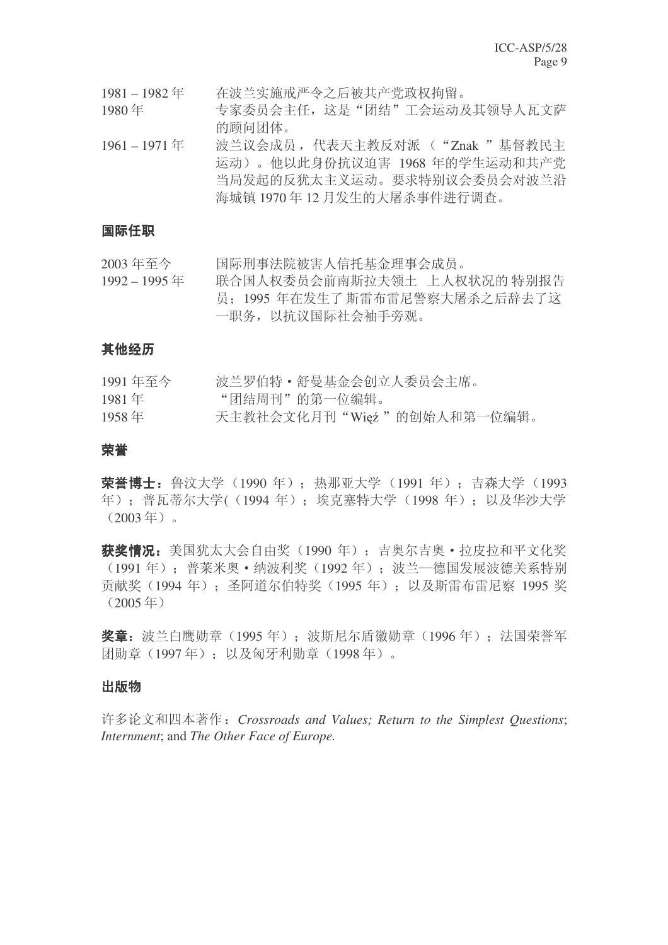1981-1982年 存波兰实施戒严令之后被共产党政权拘留。

1980年 专家委员会主任, 这是"团结"工会运动及其领导人瓦文萨 的顾问团体。

1961-1971年 波兰议会成员, 代表天主教反对派 ("Znak " 基督教民主 运动)。他以此身份抗议迫害 1968 年的学生运动和共产党 当局发起的反犹太主义运动。要求特别议会委员会对波兰沿 海城镇 1970年12月发生的大屠杀事件讲行调杳。

## 国际仟职

2003 年至今 国际刑事法院被害人信托基金理事会成员。

1992 – 1995 ᑈ 㘨ড়ҎᴗྨਬӮࠡफᮃᢝ乚ೳ ϞҎᴗ⢊މⱘ ⡍߿ਞ 员: 1995 年在发生了斯雷布雷尼警察大屠杀之后辞去了这 一职务, 以抗议国际社会袖手旁观。

## 其他经历

| 1991年至今 | 波兰罗伯特 • 舒曼基金会创立人委员会主席。     |
|---------|----------------------------|
| 1981年   | "团结周刊"的第一位编辑。              |
| 1958年   | 天主教社会文化月刊"Więź"的创始人和第一位编辑。 |

#### 荣誉

**荣誉博士:** 鲁汶大学 (1990 年) : 热那亚大学 (1991 年) : 吉森大学 (1993 年): 普瓦蒂尔大学((1994年): 埃克塞特大学(1998年): 以及华沙大学  $(2003 \pm 5)$ 。

获奖情况: 美国犹太大会自由奖 (1990 年): 吉奧尔吉奧 · 拉皮拉和平文化奖 (1991年): 普莱米奧•纳波利奖(1992年): 波兰一德国发展波德关系特别 贡献奖 (1994年): 圣阿道尔伯特奖 (1995年): 以及斯雷布雷尼察 1995 奖  $(2005 \pm 1)$ 

奖章: 波兰白鹰勋章 (1995年): 波斯尼尔盾徽勋章 (1996年): 法国荣誉军 闭勋章 (1997年): 以及匈牙利勋章 (1998年)。

#### 出版物

䆌䆎᭛ಯᴀ㨫˖*Crossroads and Values; Return to the Simplest Questions*; *Internment*; and *The Other Face of Europe.*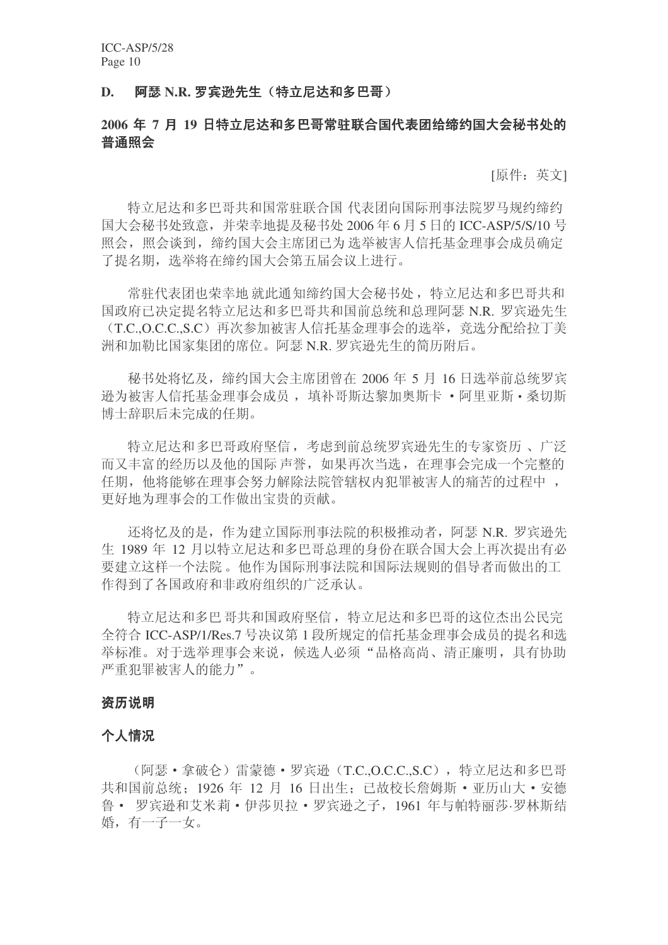### D. 阿瑟 N.R. 罗宾逊先生 (特立尼达和多巴哥)

# 2006 年 7 月 19 日特立尼达和多巴哥常驻联合国代表团给缔约国大会秘书处的 普通照会

[原件: 英文]

特立尼达和多巴哥共和国常驻联合国 代表团向国际刑事法院罗马规约缔约 国大会秘书处致意, 并荣幸地提及秘书处 2006年6月5日的 ICC-ASP/5/S/10 号 照会, 照会谈到, 缔约国大会主席团已为 选举被害人信托基金理事会成员确定 了提名期, 选举将在缔约国大会第五届会议上讲行。

當驻代表团也荣幸地 就此通知缔约国大会秘书处, 特立尼达和多巴哥共和 国政府已决定提名特立尼达和多巴哥共和国前总统和总理阿瑟 N.R. 罗宾逊先生 (T.C.,O.C.C.,S.C)再次参加被害人信托基金理事会的选举, 竞选分配给拉丁美 洲和加勒比国家集团的席位。阿瑟 N.R. 罗宾逊先生的简历附后。

秘书处将忆及, 缔约国大会主席团曾在 2006 年 5 月 16 日选举前总统罗宾 逊为被害人信托基金理事会成员, 填补哥斯达黎加奥斯卡 · 阿里亚斯 · 桑切斯 博士辞职后未完成的任期。

特立尼达和多巴哥政府坚信,考虑到前总统罗宾逊先生的专家资历、广泛 而又丰富的经历以及他的国际 声誉, 如果再次当选, 在理事会完成一个完整的 任期, 他将能够在理事会努力解除法院管辖权内犯罪被害人的痛苦的过程中, 更好地为理事会的工作做出宝贵的贡献。

还将忆及的是, 作为建立国际刑事法院的积极推动者, 阿瑟 N.R. 罗宾逊先 生 1989 年 12 月以特立尼达和多巴哥总理的身份在联合国大会上再次提出有必 要建立这样一个法院。他作为国际刑事法院和国际法规则的倡导者而做出的工 作得到了各国政府和非政府组织的广泛承认。

特立尼达和多巴哥拉和国政府坚信,特立尼达和多巴哥的这位杰出公民完 全符合 ICC-ASP/1/Res.7 号决议第 1 段所规定的信托基金理事会成员的提名和选 举标准。对于选举理事会来说,候选人必须"品格高尚、清正廉明,具有协助 严重犯罪被害人的能力"。

#### 资历说明

#### 个人情况

(阿瑟•拿破仑)雷蒙德•罗宾逊(T.C.O.C.C.S.C), 特立尼达和多巴哥 共和国前总统: 1926 年 12 月 16 日出生: 已故校长詹姆斯·亚历山大·安德 鲁 · 罗宾逊和艾米莉 · 伊莎贝拉 · 罗宾逊之子, 1961 年与帕特丽莎·罗林斯结 婚,有一子一女。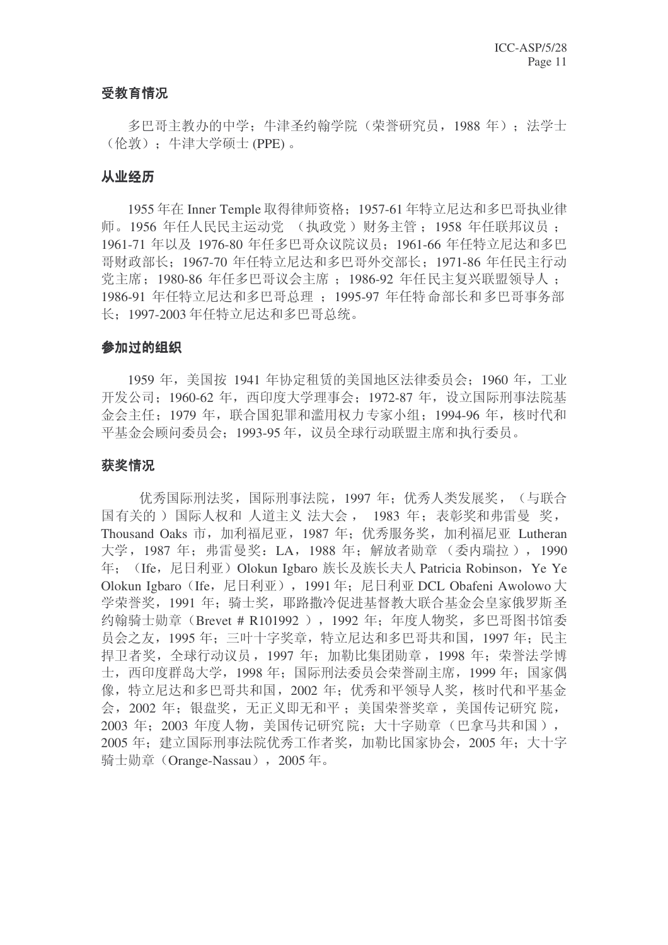## 受教育情况

多巴哥主教办的中学: 牛津圣约翰学院(荣誉研究员, 1988年): 法学士 (伦敦): 牛津大学硕士 (PPE) 。

## 从业经历

1955 年在 Inner Temple 取得律师资格: 1957-61 年特立尼达和多巴哥执业律 师。1956 年任人民民主运动党 (执政党) 财务主管: 1958 年任联邦议员: 1961-71 年以及 1976-80 年任多巴哥众议院议员: 1961-66 年任特立尼达和多巴 哥财政部长: 1967-70 年任特立尼达和多巴哥外交部长: 1971-86 年任民主行动 党主席: 1980-86 年任多巴哥议会主席: 1986-92 年任民主复兴联盟领导人: 1986-91 年任特立尼达和多巴哥总理: 1995-97 年任特命部长和多巴哥事务部 长: 1997-2003 年仟特立尼达和多巴哥总统。

## 参加过的组织

1959 年, 美国按 1941 年协定和赁的美国地区法律委员会: 1960 年, 工业 开发公司: 1960-62 年, 西印度大学理事会: 1972-87 年, 设立国际刑事法院基 金会主任: 1979 年, 联合国犯罪和滥用权力专家小组: 1994-96 年, 核时代和 平基金会顾问委员会; 1993-95 年, 议员全球行动联盟主席和执行委员。

# 获奖情况

优秀国际刑法奖, 国际刑事法院, 1997 年: 优秀人类发展奖, (与联合 国有关的) 国际人权和 人道主义 法大会, 1983 年: 表彰奖和弗雷曼 奖, Thousand Oaks 市, 加利福尼亚, 1987 年; 优秀服务奖, 加利福尼亚 Lutheran 大学, 1987 年: 弗雷曼奖: LA, 1988 年: 解放者勋章 (委内瑞拉), 1990 年: (Ife, 尼日利亚) Olokun Igbaro 族长及族长夫人 Patricia Robinson, Ye Ye Olokun Igbaro (Ife, 尼日利亚), 1991年: 尼日利亚 DCL Obafeni Awolowo 大 学荣誉奖, 1991 年: 骑士奖, 耶路撒冷促讲基督教大联合基金会皇家俄罗斯圣 约翰骑十勋章 (Brevet # R101992), 1992 年: 年度人物奖, 多巴哥图书馆委 员会之友, 1995年; 三叶十字奖章, 特立尼达和多巴哥共和国, 1997年; 民主 捍卫者奖, 全球行动议员, 1997 年; 加勒比集团勋章, 1998 年; 荣誉法学博 士, 西印度群岛大学, 1998 年; 国际刑法委员会荣誉副主席, 1999 年; 国家偶 像, 特立尼达和多巴哥共和国, 2002 年; 优秀和平领导人奖, 核时代和平基金 会, 2002 年: 银盘奖, 无正义即无和平: 美国荣誉奖章, 美国传记研究 院, 2003 年: 2003 年度人物, 美国传记研究院: 大十字勋章(巴拿马共和国), 2005 年: 建立国际刑事法院优秀工作者奖, 加勒比国家协会, 2005 年: 大十字 骑士勋章 (Orange-Nassau), 2005年。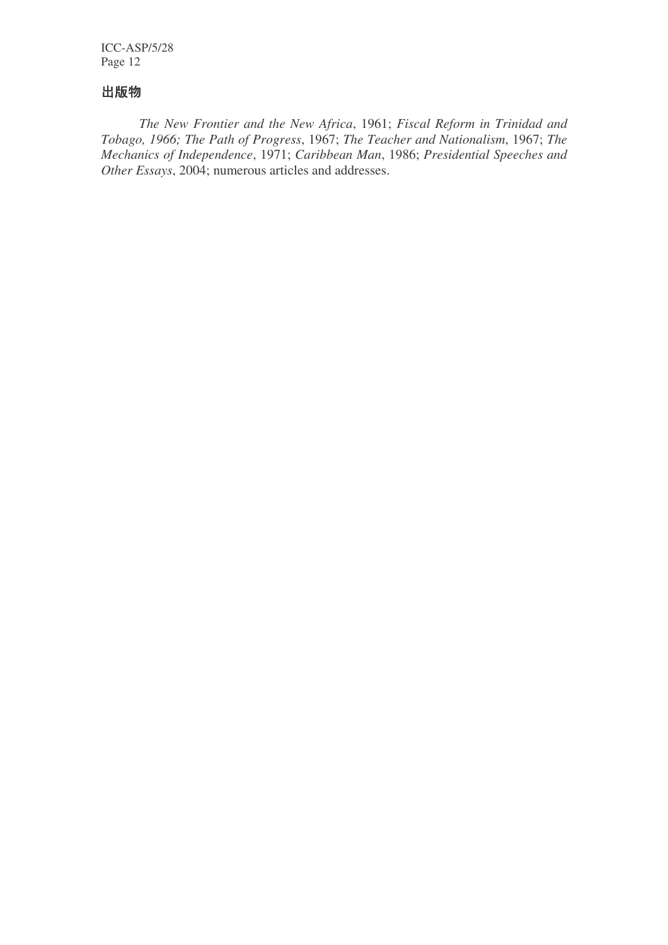# 出版物

*The New Frontier and the New Africa*, 1961; *Fiscal Reform in Trinidad and Tobago, 1966; The Path of Progress*, 1967; *The Teacher and Nationalism*, 1967; *The Mechanics of Independence*, 1971; *Caribbean Man*, 1986; *Presidential Speeches and Other Essays*, 2004; numerous articles and addresses.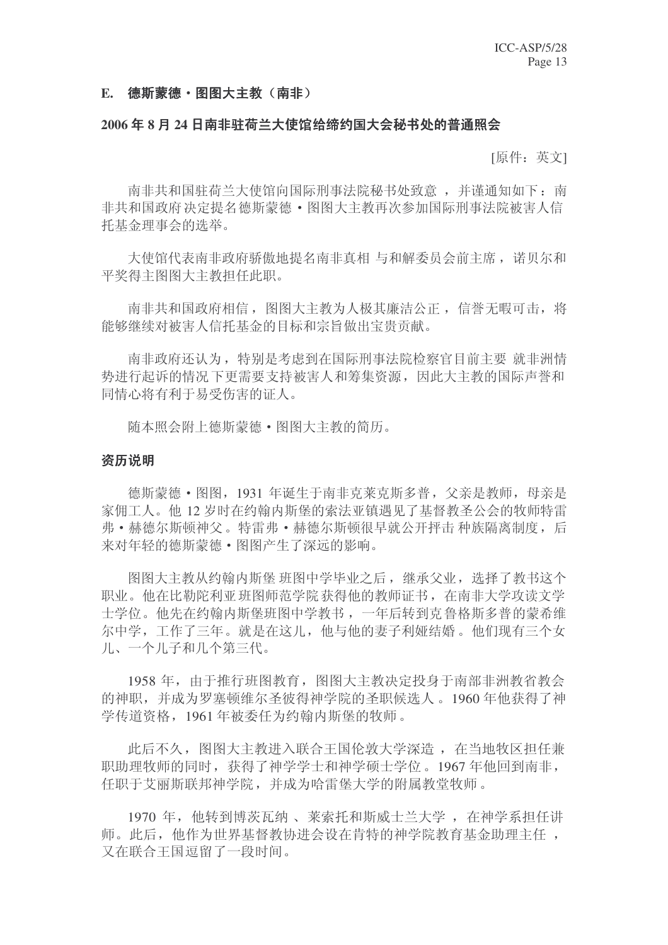#### E. 德斯蒙德·图图大主教(南非)

#### 2006年8月24日南非驻荷兰大使馆给缔约国大会秘书处的普通照会

[原件:英文]

南非共和国驻荷兰大使馆向国际刑事法院秘书处致意,并谨通知如下:南 非共和国政府决定提名德斯蒙德·图图大主教再次参加国际刑事法院被害人信 托基金理事会的选举。

大使馆代表南非政府骄傲地提名南非真相 与和解委员会前主席, 诺贝尔和 平奖得主图图大主教担任此职。

南非共和国政府相信, 图图大主教为人极其廉洁公正, 信誉无暇可击, 将 能够继续对被害人信托基金的目标和宗旨做出宝贵贡献。

南非政府还认为, 特别是考虑到在国际刑事法院检察官目前主要 就非洲情 势讲行起诉的情况下更需要支持被害人和筹集资源,因此大主教的国际声誉和 同情心将有利于易受伤害的证人。

贿本照会附上德斯蒙德 · 图图大主教的简历。

#### 资历说明

德斯蒙德 · 图图, 1931 年诞生于南非克莱克斯多普, 父亲是教师, 母亲是 家佣工人。他12 岁时在约翰内斯堡的索法亚镇遇见了基督教圣公会的牧师特雷 弗•赫德尔斯顿神父。特雷弗•赫德尔斯顿很早就公开抨击 种族隔离制度, 后 来对年轻的德斯蒙德·图图产生了深远的影响。

图图大主教从约翰内斯堡 班图中学毕业之后, 继承父业, 选择了教书这个 职业。他在比勒陀利亚班图师范学院获得他的教师证书, 在南非大学攻读文学 士学位。他先在约翰内斯堡班图中学教书,一年后转到克鲁格斯多普的蒙希维 尔中学,工作了三年。就是在这儿,他与他的妻子利娅结婚。他们现有三个女 儿、一个儿子和几个第三代。

1958 年, 由于推行班图教育, 图图大主教决定投身于南部非洲教省教会 的神职,并成为罗塞顿维尔圣彼得神学院的圣职候选人。1960年年他获得了神 学传道资格, 1961年被委任为约翰内斯堡的牧师。

此后不久, 图图大主教进入联合王国伦敦大学深造, 在当地牧区担任兼 职助理牧师的同时,获得了神学学士和神学硕士学位。1967年他回到南非, 任职于艾丽斯联邦神学院,并成为哈雷堡大学的附属教堂牧师。

1970 年, 他转到博茨瓦纳、莱索托和斯威士兰大学, 在神学系担任讲 师。此后,他作为世界基督教协讲会设在肯特的神学院教育基金助理主任, 又在联合王国逗留了一段时间。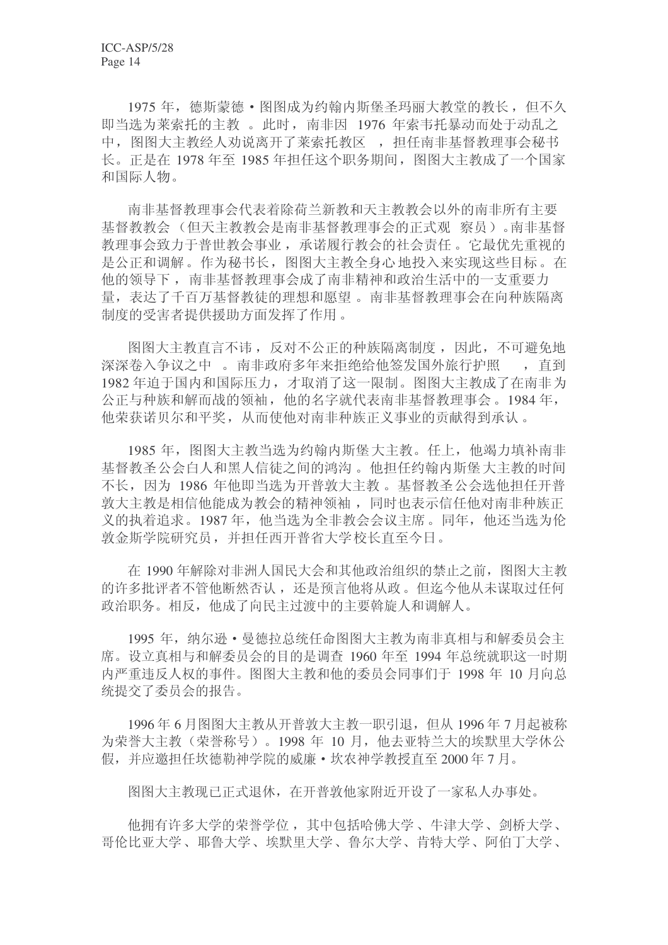1975 年, 德斯蒙德 · 图图成为约翰内斯堡圣玛丽大教堂的教长, 但不久 即当选为莱索托的主教。此时, 南非因 1976 年索韦托暴动而处于动乱之 中, 图图大主教经人劝说离开了莱索托教区, 担任南非基督教理事会秘书 长。正是在 1978 年至 1985 年担任这个职务期间, 图图大主教成了一个国家 和国际人物。

南非基督教理事会代表着除荷兰新教和天主教教会以外的南非所有主要 基督教教会(但天主教教会是南非基督教理事会的正式观察员)。南非基督 教理事会致力于普世教会事业, 承诺履行教会的社会责任。它最优先重视的 是公正和调解。作为秘书长, 图图大主教全身心地投入来实现这些目标。在 他的领导下, 南非基督教理事会成了南非精神和政治生活中的一支重要力 量, 表达了千百万基督教徒的理想和愿望。南非基督教理事会在向种族隔离 制度的受害者提供援助方面发挥了作用。

图图大主教直言不讳, 反对不公正的种族隔离制度, 因此, 不可避免地 深深卷入争议之中。南非政府多年来拒绝给他签发国外旅行护照 , 直到 1982年迫于国内和国际压力,才取消了这一限制。图图大主教成了在南非为 公正与种族和解而战的领袖,他的名字就代表南非基督教理事会。1984年, 他荣获诺贝尔和平奖, 从而使他对南非种族正义事业的贡献得到承认。

1985 年, 图图大主教当洗为约翰内斯堡大主教。任上, 他竭力填补南非 基督教圣公会白人和黑人信徒之间的鸿沟。 他担任约翰内斯堡 大主教的时间 不长,因为 1986 年他即当选为开普敦大主教。基督教圣公会选他担任开普 敦大主教是相信他能成为教会的精神领袖,同时也表示信任他对南非种族正 义的执着追求。1987年,他当选为全非教会会议主席。同年,他还当选为伦 敦金斯学院研究员,并担任西开普省大学校长直至今日。

在 1990 年解除对非洲人国民大会和其他政治组织的禁止之前, 图图大主教 的许多批评者不管他断然否认, 还是预言他将从政。但迄今他从未谋取过任何 政治职务。相反,他成了向民主过渡中的主要斡旋人和调解人。

1995 年, 纳尔逊·曼德拉总统任命图图大主教为南非真相与和解委员会主 席。设立真相与和解委员会的目的是调查 1960 年至 1994 年总统就职这一时期 内严重违反人权的事件。图图大主教和他的委员会同事们于 1998 年 10 月向总 统提交了委员会的报告。

1996年6月图图大主教从开普敦大主教一职引退, 但从 1996年7月起被称 为荣誉大主教(荣誉称号)。1998 年 10 月, 他去亚特兰大的埃默里大学休公 假,并应邀担任坎德勒神学院的威廉·坎农神学教授直至2000年7月。

图图大主教现已正式退休, 在开普敦他家附近开设了一家私人办事处。

他拥有许多大学的荣誉学位,其中包括哈佛大学、牛津大学、剑桥大学、 哥伦比亚大学、耶鲁大学、埃默里大学、鲁尔大学、肯特大学、阿伯丁大学、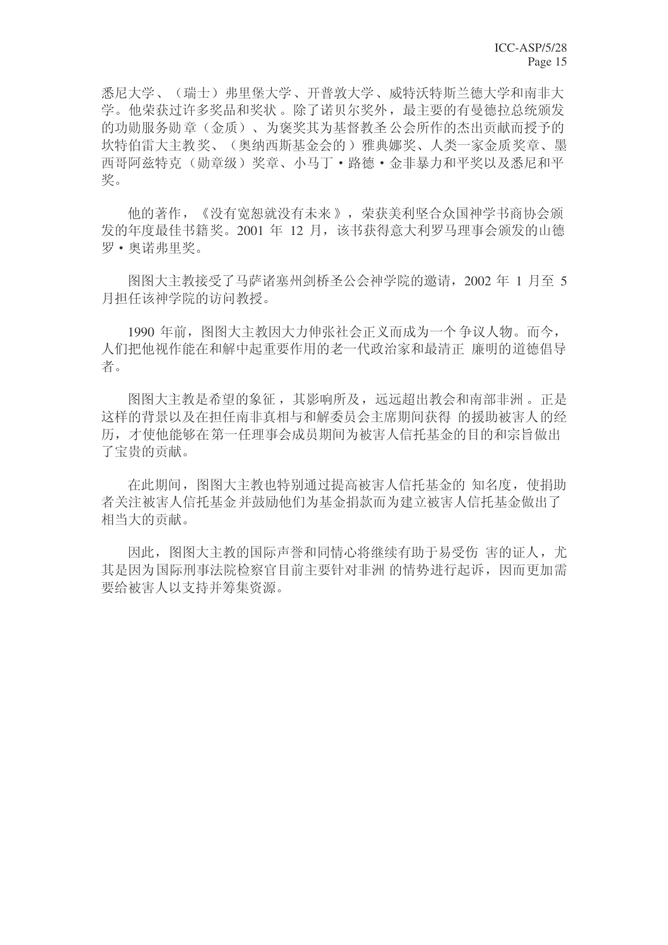悉尼大学、(瑞士)弗里堡大学、开普敦大学、威特沃特斯兰德大学和南非大 学。他荣获过许多奖品和奖状。除了诺贝尔奖外, 最主要的有曼德拉总统颁发 的功勋服务勋章(金质)、为褒奖其为基督教圣公会所作的杰出贡献而授予的 坎特伯雷大主教奖、(奥纳西斯基金会的)雅典娜奖、人类一家金质奖章、墨 西哥阿兹特克(勋章级)奖章、小马丁·路德·金非暴力和平奖以及悉尼和平 奖。

他的著作,《没有宽恕就没有未来》,荣获美利坚合众国神学书商协会颁 发的年度最佳书籍奖。2001 年 12 月, 该书获得意大利罗马理事会颁发的山德 罗•奥诺弗里奖。

图图大主教接受了马萨诸塞州剑桥圣公会神学院的邀请, 2002 年 1 月至 5 月担任该神学院的访问教授。

1990 年前, 图图大主教因大力伸张社会正义而成为一个争议人物。而今, 人们把他视作能在和解中起重要作用的老一代政治家和最清正 廉明的道德倡导 者。

图图大主教是希望的象征,其影响所及,远远超出教会和南部非洲。正是 这样的背景以及在担任南非真相与和解委员会主席期间获得 的援助被害人的经 历,才使他能够在第一任理事会成员期间为被害人信托基金的目的和宗旨做出 了宝贵的贡献。

在此期间, 图图大主教也特别通过提高被害人信托基金的 知名度, 使捐助 者关注被害人信托基金并鼓励他们为基金捐款而为建立被害人信托基金做出了 相当大的贡献。

因此, 图图大主教的国际声誉和同情心将继续有助于易受伤 害的证人, 尤 其是因为国际刑事法院检察官目前主要针对非洲 的情势讲行起诉, 因而更加需 要给被害人以支持并筹集资源。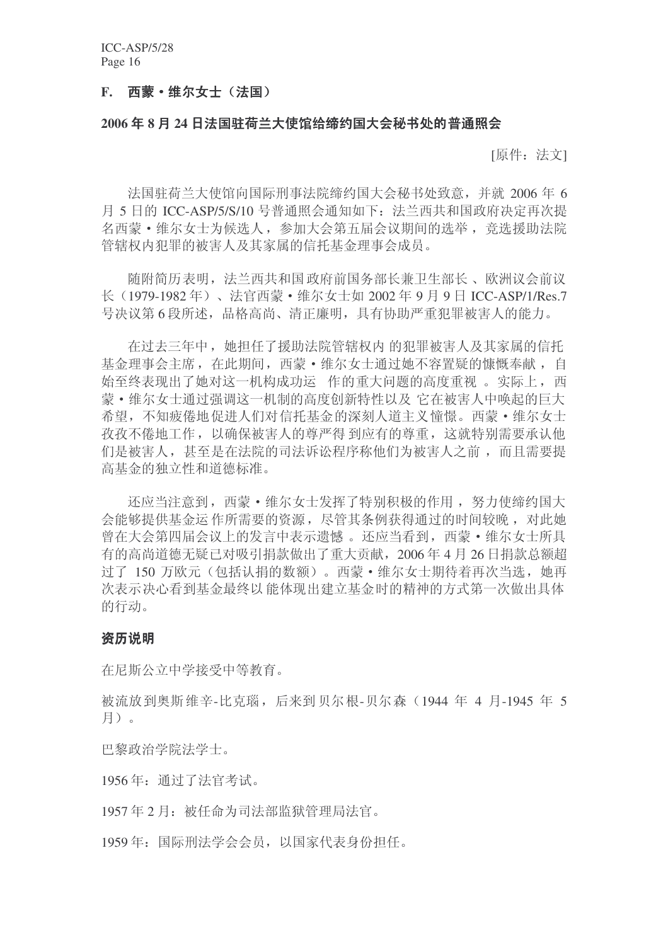## F. 西蒙·维尔女士(法国)

## 2006年8月24日法国驻荷兰大使馆给缔约国大会秘书处的普通照会

[原件: 法文]

法国驻荷兰大使馆向国际刑事法院缔约国大会秘书处致意, 并就 2006 年 6 月 5 日的 ICC-ASP/5/S/10 号普通照会通知如下: 法兰西共和国政府决定再次提 名西蒙 · 维尔女士为候选人, 参加大会第五届会议期间的选举, 竞选援助法院 管辖权内犯罪的被害人及其家属的信托基金理事会成员。

随附简历表明, 法兰西共和国政府前国务部长兼卫生部长、欧洲议会前议 长 (1979-1982年)、法官西蒙 • 维尔女士如 2002年9月9日 ICC-ASP/1/Res.7 号决议第6段所述, 品格高尚、清正廉明, 具有协助严重犯罪被害人的能力。

在过去三年中,她担任了援助法院管辖权内 的犯罪被害人及其家属的信托 基金理事会主席, 在此期间, 西蒙·维尔女士通过她不容置疑的慷慨奉献, 自 始至终表现出了她对这一机构成功运 作的重大问题的高度重视 。实际上,西 蒙•维尔女士通过强调这一机制的高度创新特性以及它在被害人中唤起的巨大 希望,不知疲倦地促进人们对信托基金的深刻人道主义憧憬。西蒙 • 维尔女士 孜孜不倦地工作,以确保被害人的尊严得到应有的尊重,这就特别需要承认他 们是被害人, 甚至是在法院的司法诉讼程序称他们为被害人之前, 而且需要提 高基金的独立性和道德标准。

还应当注意到, 西蒙·维尔女士发挥了特别积极的作用, 努力使缔约国大 会能够提供基金运 作所需要的资源, 尽管其条例获得通过的时间较晚, 对此她 曾在大会第四届会议上的发言中表示遗憾。还应当看到, 西蒙 • 维尔女士所具 有的高尚道德无疑已对吸引捐款做出了重大贡献, 2006年4月26日捐款总额招 讨了 150 万欧元(包括认捐的数额)。西蒙·维尔女士期待着再次当选, 她再 次表示决心看到基金最终以能体现出建立基金时的精神的方式第一次做出具体 的行动。

#### 资历说明

在尼斯公立中学接受中等教育。

被流放到奥斯维辛-比克瑙, 后来到贝尔根-贝尔森(1944年4月-1945年5 月)。

巴黎政治学院法学士。

1956年: 通过了法官考试。

1957年2月: 被任命为司法部监狱管理局法官。

1959年: 国际刑法学会会员, 以国家代表身份担任。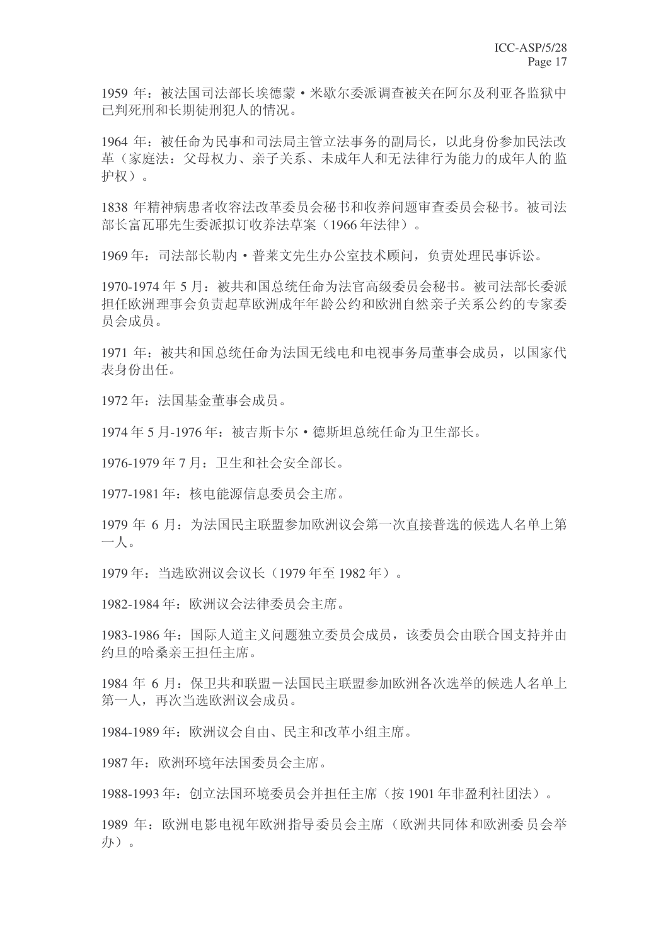1959 年: 被法国司法部长埃德蒙 · 米歇尔委派调查被关在阿尔及利亚各监狱中 已判死刑和长期徒刑犯人的情况。

1964 年: 被任命为民事和司法局主管立法事务的副局长, 以此身份参加民法改 革(家庭法: 父母权力、亲子关系、未成年人和无法律行为能力的成年人的监 护权)。

1838 年精神病患者收容法改革委员会秘书和收养问题审查委员会秘书。被司法 部长富瓦耶先生委派拟订收养法草案(1966年法律)。

1969年: 司法部长勒内·普莱文先生办公室技术顾问, 负责处理民事诉讼。

1970-1974年5月: 被共和国总统任命为法官高级委员会秘书。被司法部长委派 担任欧洲理事会负责起草欧洲成年年龄公约和欧洲自然亲子关系公约的专家委 员会成员。

1971 年: 被共和国总统任命为法国无线电和电视事务局董事会成员, 以国家代 表身份出任。

1972年: 法国基金董事会成员。

1974年5月-1976年: 被吉斯卡尔·德斯坦总统任命为卫生部长。

1976-1979 年 7 月: 卫生和社会安全部长。

1977-1981 年: 核电能源信息委员会主席。

1979年6月: 为法国民主联盟参加欧洲议会第一次直接普选的候选人名单上第  $-\mathcal{N}$ 

1979年: 当选欧洲议会议长 (1979年至1982年)。

1982-1984 年: 欧洲议会法律委员会主席。

1983-1986年: 国际人道主义问题独立委员会成员, 该委员会由联合国支持并由 约旦的哈桑亲王担任主席。

1984 年 6 月: 保卫共和联盟一法国民主联盟参加欧洲各次选举的候选人名单上 第一人,再次当选欧洲议会成员。

1984-1989年: 欧洲议会自由、民主和改革小组主席。

1987年: 欧洲环境年法国委员会主席。

1988-1993年: 创立法国环境委员会并担任主席(按1901年非盈利社团法)。

1989 年: 欧洲电影电视年欧洲指导委员会主席(欧洲共同体和欧洲委员会举 办)。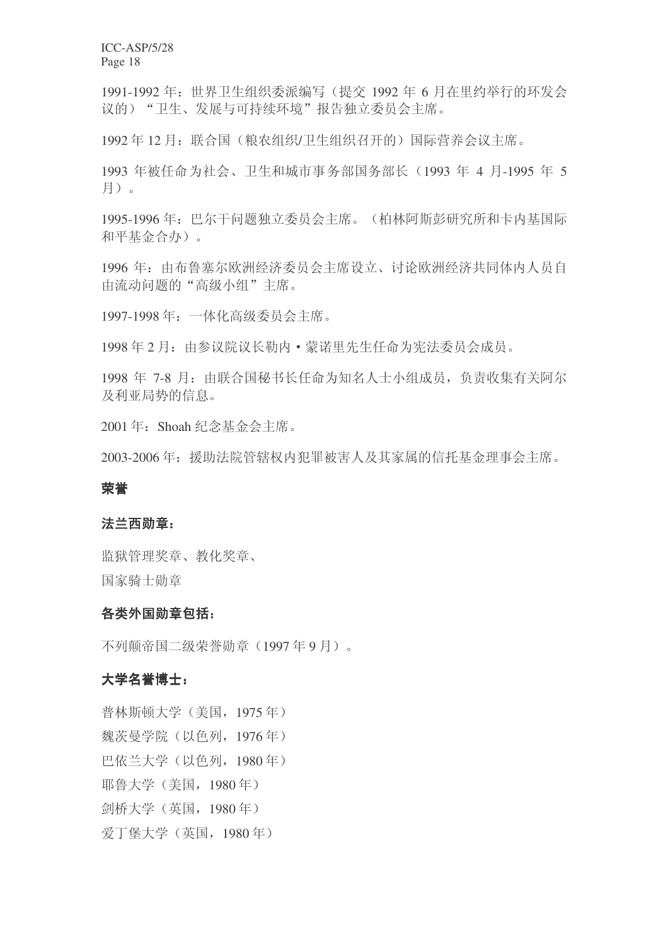1991-1992 年: 世界卫生组织委派编写(提交 1992 年 6 月在里约举行的环发会 议的) "卫生、发展与可持续环境"报告独立委员会主席。

1992年12月: 联合国(粮农组织/卫生组织召开的)国际营养会议主席。

1993 年被任命为社会、卫生和城市事务部国务部长 (1993 年 4 月-1995 年 5 月)。

1995-1996年: 巴尔干问题独立委员会主席。(柏林阿斯彭研究所和卡内基国际 和平基金合办)。

1996 年: 由布鲁塞尔欧洲经济委员会主席设立、讨论欧洲经济共同体内人员自 由流动问题的"高级小组"主席。

1997-1998年: 一体化高级委员会主席。

1998年2月: 由参议院议长勒内·蒙诺里先生任命为宪法委员会成员。

1998 年 7-8 月: 由联合国秘书长任命为知名人士小组成员, 负责收集有关阿尔 及利亚局势的信息。

2001年: Shoah 纪念基金会主席。

2003-2006年: 援助法院管辖权内犯罪被害人及其家属的信托基金理事会主席。

#### 荣誉

#### 法兰西勋章:

监狱管理奖章、教化奖章、 国家骑士勋章

#### 各类外国勋章包括:

不列颠帝国二级荣誉勋章(1997年9月)。

### 大学名誉博士:

普林斯顿大学(美国, 1975年) 魏茨曼学院(以色列, 1976年) 巴依兰大学(以色列, 1980年) 耶鲁大学 (美国, 1980年) 剑桥大学 (英国, 1980年) 爱丁堡大学(英国, 1980年)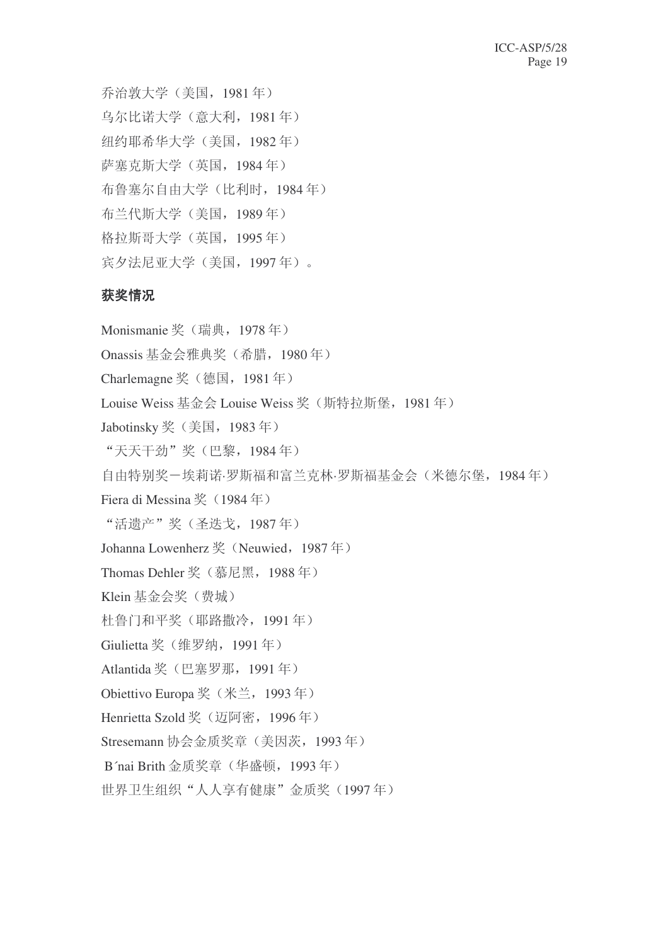乔治敦大学(美国, 1981年) 乌尔比诺大学(意大利, 1981年) 纽约耶希华大学(美国, 1982年) 萨塞克斯大学(英国, 1984年) 布鲁塞尔自由大学(比利时, 1984年) 布兰代斯大学(美国, 1989年) 格拉斯哥大学(英国, 1995年) 宾夕法尼亚大学(美国, 1997年)。

# 获奖情况

Monismanie 奖 (瑞典, 1978年) Onassis 基金会雅典奖 (希腊, 1980年) Charlemagne 奖 (德国, 1981年) Louise Weiss 基金会 Louise Weiss 奖 (斯特拉斯堡, 1981年) Jabotinsky 奖 (美国, 1983年) "天天干劲"奖(巴黎, 1984年) 自由特别奖一埃莉诺·罗斯福和富兰克林·罗斯福基金会(米德尔堡, 1984年) Fiera di Messina 奖 (1984年) "活遗产"奖(圣迭戈, 1987年) Johanna Lowenherz  $\frac{1}{2}$  (Neuwied, 1987  $\pm$ ) Thomas Dehler 奖 (慕尼黑, 1988年) Klein 基金会奖(费城) 杜鲁门和平奖(耶路撒冷, 1991年) Giulietta 奖 (维罗纳, 1991年) Atlantida 奖 (巴塞罗那, 1991年) Obiettivo Europa 奖 (米兰, 1993年) Henrietta Szold 奖 (迈阿密, 1996年) Stresemann 协会金质奖章 (美因茨, 1993年) B'nai Brith 金质奖章 (华盛顿, 1993年) 世界卫生组织"人人享有健康"金质奖(1997年)